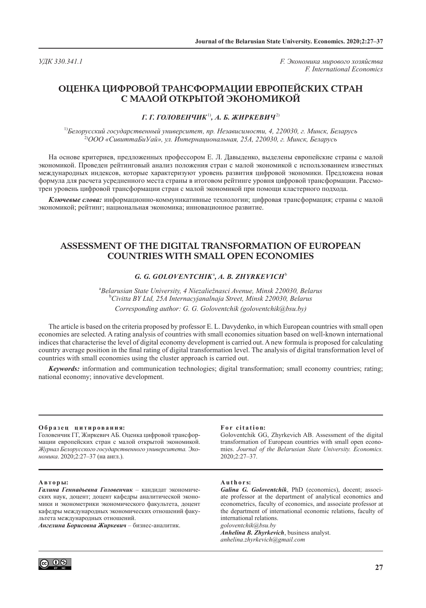*УДК 330.341.1 F. Экономика мирового хозяйства F. International Economics*

# **ОЦЕНКА ЦИФРОВОЙ ТРАНСФОРМАЦИИ ЕВРОПЕЙСКИХ СТРАН С МАЛОЙ ОТКРЫТОЙ ЭКОНОМИКОЙ**

## *Г. Г. ГОЛОВЕНЧИК*1)*, А. Б. ЖИРКЕВИЧ*2)

1)*Белорусский государственный университет, пр. Независимости, 4, 220030, г. Минск, Беларусь* 2)*ООО «СивиттаБиУай», ул. Интернациональная, 25А, 220030, г. Минск, Беларусь* 

На основе критериев, предложенных профессором Е. Л. Давыденко, выделены европейские страны с малой экономикой. Проведен рейтинговый анализ положения стран с малой экономикой с использованием известных международных индексов, которые характеризуют уровень развития цифровой экономики. Предложена новая формула для расчета усредненного места страны в итоговом рейтинге уровня цифровой трансформации. Рассмотрен уровень цифровой трансформации стран с малой экономикой при помощи кластерного подхода.

*Ключевые слова:* информационно-коммуникативные технологии; цифровая трансформация; страны с малой экономикой; рейтинг; национальная экономика; инновационное развитие.

## **ASSESSMENT OF THE DIGITAL TRANSFORMATION OF EUROPEAN COUNTRIES WITH SMALL OPEN ECONOMIES**

### *G. G. GOLOVENTCHIK*<sup>a</sup> *, A. B. ZHYRKEVICH*<sup>b</sup>

<sup>a</sup> Belarusian State University, 4 Niezaliežnasci Avenue, Minsk 220030, Belarus<br>Policity BY Ltd. 25.4 Internacyjanglnają Street Minsk 220030, Belarus *Civitta BY Ltd, 25A Internacyjanalnaja Street, Minsk 220030, Belarus Corresponding author: G. G. Goloventchik (goloventchik@bsu.by)*

The article is based on the criteria proposed by professor E. L. Davydenko, in which European countries with small open economies are selected. A rating analysis of countries with small economies situation based on well-known international indices that characterise the level of digital economy development is carried out. A new formula is proposed for calculating country average position in the final rating of digital transformation level. The analysis of digital transformation level of countries with small economies using the cluster approach is carried out.

*Keywords:* information and communication technologies; digital transformation; small economy countries; rating; national economy; innovative development.

### **О б р а з е ц ц и т и р о в а н и я:**

Головенчик ГГ, Жиркевич АБ. Оценка цифровой трансформации европейских стран с малой открытой экономикой. *Журнал Белорусского государственного университета. Экономика*. 2020;2:27–37 (на англ.).

#### For citation:

Goloventchik GG, Zhyrkevich AB. Assessment of the digital transformation of European countries with small open economies. *Journal of the Belarusian State University. Economics.* 2020;2:27–37.

### **А в т о р ы:**

*Галина Геннадьевна Головенчик* – кандидат экономических наук, доцент; доцент кафедры аналитической экономики и эконометрики экономического факультета, доцент кафедры международных экономических отношений факультета международных отношений.

*Ангелина Борисовна Жиркевич* – бизнес-аналитик.

### **A u t h o r s:**

*Galina G. Goloventchik*, PhD (economics), docent; associate professor at the department of analytical economics and econometrics, faculty of economics, and associate professor at the department of international economic relations, faculty of international relations. *goloventchik@bsu.by Anhelina B. Zhyrkevich*, business analyst.

*anhelina.zhyrkevich@gmail.com*

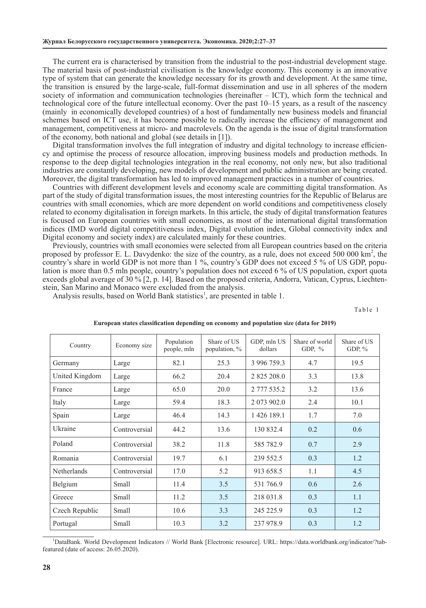The current era is characterised by transition from the industrial to the post-industrial development stage. The material basis of post-industrial civilisation is the knowledge economy. This economy is an innovative type of system that can generate the knowledge necessary for its growth and development. At the same time, the transition is ensured by the large-scale, full-format dissemination and use in all spheres of the modern society of information and communication technologies (hereinafter – ICT), which form the technical and technological core of the future intellectual economy. Over the past 10–15 years, as a result of the nascency (mainly in economically developed countries) of a host of fundamentally new business models and financial schemes based on ICT use, it has become possible to radically increase the efficiency of management and management, competitiveness at micro- and macrolevels. On the agenda is the issue of digital transformation of the economy, both national and global (see details in [1]).

Digital transformation involves the full integration of industry and digital technology to increase efficiency and optimise the process of resource allocation, improving business models and production methods. In response to the deep digital technologies integration in the real economy, not only new, but also traditional industries are constantly developing, new models of development and public administration are being created. Moreover, the digital transformation has led to improved management practices in a number of countries.

Countries with different development levels and economy scale are committing digital transformation. As part of the study of digital transformation issues, the most interesting countries for the Republic of Belarus are countries with small economies, which are more dependent on world conditions and competitiveness closely related to economy digitalisation in foreign markets. In this article, the study of digital transformation features is focused on European countries with small economies, as most of the international digital transformation indices (IMD world digital competitiveness index, Digital evolution index, Global connectivity index and Digital economy and society index) are calculated mainly for these countries.

Previously, countries with small economies were selected from all European countries based on the criteria proposed by professor E. L. Davydenko: the size of the country, as a rule, does not exceed 500 000 km<sup>2</sup>, the country's share in world GDP is not more than 1 %, country's GDP does not exceed 5 % of US GDP, population is more than 0.5 mln people, country's population does not exceed 6 % of US population, export quota exceeds global average of 30 % [2, p. 14]. Based on the proposed criteria, Andorra, Vatican, Cyprus, Liechtenstein, San Marino and Monaco were excluded from the analysis.

Analysis results, based on World Bank statistics<sup>1</sup>, are presented in table 1.

Table 1

| Country        | Economy size  | Population<br>people, mln | Share of US<br>population, % | GDP, mln US<br>dollars | Share of world<br>GDP, $%$ | Share of US<br>GDP, $\%$ |
|----------------|---------------|---------------------------|------------------------------|------------------------|----------------------------|--------------------------|
| Germany        | Large         | 82.1                      | 25.3                         | 3 996 759.3            | 4.7                        | 19.5                     |
| United Kingdom | Large         | 66.2                      | 20.4                         | 2 825 208.0            | 3.3                        | 13.8                     |
| France         | Large         | 65.0                      | 20.0                         | 2 777 535.2            | 3.2                        | 13.6                     |
| Italy          | Large         | 59.4                      | 18.3                         | 2 073 902.0            | 2.4                        | 10.1                     |
| Spain          | Large         | 46.4                      | 14.3                         | 1 426 189.1            | 1.7                        | 7.0                      |
| Ukraine        | Controversial | 44.2                      | 13.6                         | 130 832.4              | 0.2                        | 0.6                      |
| Poland         | Controversial | 38.2                      | 11.8                         | 585 782.9              | 0.7                        | 2.9                      |
| Romania        | Controversial | 19.7                      | 6.1                          | 239 552.5              | 0.3                        | 1.2                      |
| Netherlands    | Controversial | 17.0                      | 5.2                          | 913 658.5              | 1.1                        | 4.5                      |
| Belgium        | Small         | 11.4                      | 3.5                          | 531 766.9              | 0.6                        | 2.6                      |
| Greece         | Small         | 11.2                      | 3.5                          | 218 031.8              | 0.3                        | 1.1                      |
| Czech Republic | Small         | 10.6                      | 3.3                          | 245 225.9              | 0.3                        | 1.2                      |
| Portugal       | Small         | 10.3                      | 3.2                          | 237 978.9              | 0.3                        | 1.2                      |

#### **European states classification depending on economy and population size (data for 2019)**

1 DataBank. World Development Indicators // World Bank [Electronic resource]. URL: https://data.worldbank.org/indicator/?tabfeatured (date of access: 26.05.2020).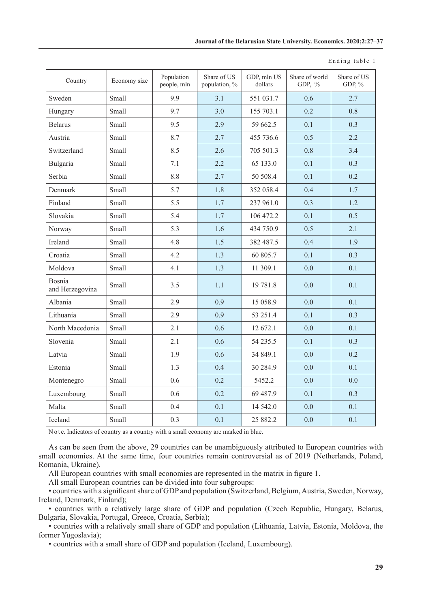| Country                   | Economy size | Population<br>people, mln | Share of US<br>population, % | GDP, mln US<br>dollars | Share of world<br>GDP, % | Share of US<br>GDP, % |
|---------------------------|--------------|---------------------------|------------------------------|------------------------|--------------------------|-----------------------|
| Sweden                    | Small        | 9.9                       | 3.1                          | 551 031.7              | 0.6                      | 2.7                   |
| Hungary                   | Small        | 9.7                       | 3.0                          | 155 703.1              | 0.2                      | 0.8                   |
| <b>Belarus</b>            | Small        | 9.5                       | 2.9                          | 59 662.5               | 0.1                      | 0.3                   |
| Austria                   | Small        | 8.7                       | 2.7                          | 455 736.6              | 0.5                      | 2.2                   |
| Switzerland               | Small        | 8.5                       | 2.6                          | 705 501.3              | 0.8                      | 3.4                   |
| Bulgaria                  | Small        | 7.1                       | 2.2                          | 65 133.0               | 0.1                      | 0.3                   |
| Serbia                    | Small        | 8.8                       | 2.7                          | 50 508.4               | 0.1                      | 0.2                   |
| Denmark                   | Small        | 5.7                       | 1.8                          | 352 058.4              | 0.4                      | 1.7                   |
| Finland                   | Small        | 5.5                       | 1.7                          | 237 961.0              | 0.3                      | 1.2                   |
| Slovakia                  | Small        | 5.4                       | 1.7                          | 106 472.2              | 0.1                      | 0.5                   |
| Norway                    | Small        | 5.3                       | 1.6                          | 434 750.9              | 0.5                      | 2.1                   |
| Ireland                   | Small        | 4.8                       | 1.5                          | 382 487.5              | 0.4                      | 1.9                   |
| Croatia                   | Small        | 4.2                       | 1.3                          | 60 805.7               | 0.1                      | 0.3                   |
| Moldova                   | Small        | 4.1                       | 1.3                          | 11 309.1               | 0.0                      | 0.1                   |
| Bosnia<br>and Herzegovina | Small        | 3.5                       | 1.1                          | 19 781.8               | 0.0                      | 0.1                   |
| Albania                   | Small        | 2.9                       | 0.9                          | 15 058.9               | 0.0                      | 0.1                   |
| Lithuania                 | Small        | 2.9                       | 0.9                          | 53 251.4               | 0.1                      | 0.3                   |
| North Macedonia           | Small        | 2.1                       | 0.6                          | 12 672.1               | 0.0                      | 0.1                   |
| Slovenia                  | Small        | 2.1                       | 0.6                          | 54 235.5               | 0.1                      | 0.3                   |
| Latvia                    | Small        | 1.9                       | 0.6                          | 34 849.1               | 0.0                      | 0.2                   |
| Estonia                   | Small        | 1.3                       | 0.4                          | 30 284.9               | 0.0                      | 0.1                   |
| Montenegro                | Small        | 0.6                       | 0.2                          | 5452.2                 | 0.0                      | 0.0                   |
| Luxembourg                | Small        | 0.6                       | 0.2                          | 69 487.9               | 0.1                      | 0.3                   |
| Malta                     | Small        | 0.4                       | 0.1                          | 14 542.0               | 0.0                      | 0.1                   |
| Iceland                   | Small        | 0.3                       | 0.1                          | 25 882.2               | 0.0                      | 0.1                   |

Ending table 1

Note. Indicators of country as a country with a small economy are marked in blue.

As can be seen from the above, 29 countries can be unambiguously attributed to European countries with small economies. At the same time, four countries remain controversial as of 2019 (Netherlands, Poland, Romania, Ukraine).

All European countries with small economies are represented in the matrix in figure 1.

All small European countries can be divided into four subgroups:

• countries with a significant share of GDP and population (Switzerland, Belgium, Austria, Sweden, Norway, Ireland, Denmark, Finland);

• countries with a relatively large share of GDP and population (Czech Republic, Hungary, Belarus, Bulgaria, Slovakia, Portugal, Greece, Croatia, Serbia);

• countries with a relatively small share of GDP and population (Lithuania, Latvia, Estonia, Moldova, the former Yugoslavia);

• countries with a small share of GDP and population (Iceland, Luxembourg).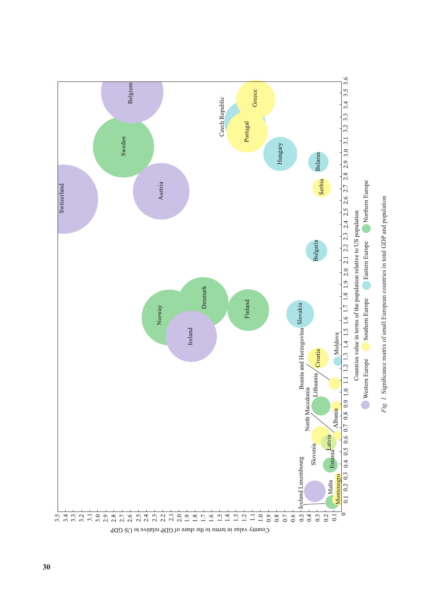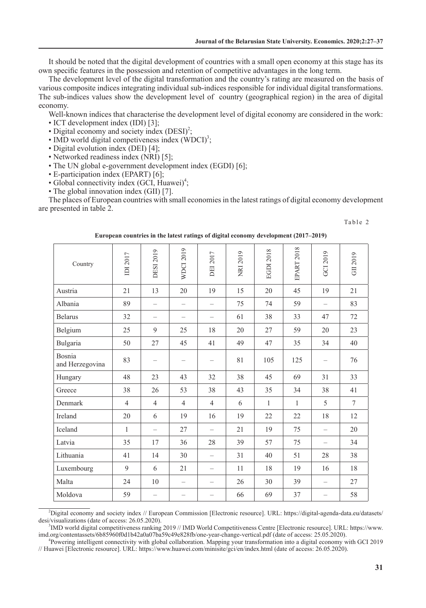It should be noted that the digital development of countries with a small open economy at this stage has its own specific features in the possession and retention of competitive advantages in the long term.

The development level of the digital transformation and the country's rating are measured on the basis of various composite indices integrating individual sub-indices responsible for individual digital transformations. The sub-indices values show the development level of country (geographical region) in the area of digital economy.

Well-known indices that characterise the development level of digital economy are considered in the work:

- ICT development index (IDI) [3];
- Digital economy and society index  $(DESI)^2$ ;
- IMD world digital competiveness index  $(WDCI)^3$ ;
- Digital evolution index (DEI) [4];
- Networked readiness index (NRI) [5];
- The UN global e-government development index (EGDI) [6];
- E-participation index (EPART) [6];
- Global connectivity index (GCI, Huawei)<sup>4</sup>;
- The global innovation index (GII) [7].

The places of European countries with small economies in the latest ratings of digital economy development are presented in table 2.

#### Table 2

| Country                   | IDI 2017       | <b>DESI 2019</b>  | <b>WDCI 2019</b>         | DEI 2017                 | <b>NRI 2019</b> | EGDI 2018    | <b>EPART 2018</b> | GCI 2019                 | GII 2019 |
|---------------------------|----------------|-------------------|--------------------------|--------------------------|-----------------|--------------|-------------------|--------------------------|----------|
| Austria                   | 21             | 13                | 20                       | 19                       | 15              | 20           | 45                | 19                       | 21       |
| Albania                   | 89             | $\qquad \qquad -$ | $\overline{\phantom{m}}$ |                          | 75              | 74           | 59                | $\overline{\phantom{m}}$ | 83       |
| <b>Belarus</b>            | 32             | $\equiv$          | $\overline{\phantom{0}}$ | $\qquad \qquad$          | 61              | 38           | 33                | 47                       | 72       |
| Belgium                   | 25             | 9                 | 25                       | 18                       | 20              | 27           | 59                | 20                       | 23       |
| Bulgaria                  | 50             | 27                | 45                       | 41                       | 49              | 47           | 35                | 34                       | 40       |
| Bosnia<br>and Herzegovina | 83             |                   |                          | $\qquad \qquad -$        | 81              | 105          | 125               |                          | 76       |
| Hungary                   | 48             | 23                | 43                       | 32                       | 38              | 45           | 69                | 31                       | 33       |
| Greece                    | 38             | 26                | 53                       | 38                       | 43              | 35           | 34                | 38                       | 41       |
| Denmark                   | $\overline{4}$ | $\overline{4}$    | $\overline{4}$           | $\overline{4}$           | 6               | $\mathbf{1}$ | $\mathbf{1}$      | 5                        | $\tau$   |
| Ireland                   | 20             | 6                 | 19                       | 16                       | 19              | 22           | 22                | 18                       | 12       |
| Iceland                   | $\mathbf{1}$   |                   | 27                       |                          | 21              | 19           | 75                |                          | 20       |
| Latvia                    | 35             | 17                | 36                       | 28                       | 39              | 57           | 75                |                          | 34       |
| Lithuania                 | 41             | 14                | 30                       | $\qquad \qquad -$        | 31              | 40           | 51                | 28                       | 38       |
| Luxembourg                | 9              | 6                 | 21                       | $\qquad \qquad$          | 11              | 18           | 19                | 16                       | 18       |
| Malta                     | 24             | 10                |                          | $\overline{\phantom{0}}$ | 26              | 30           | 39                |                          | 27       |
| Moldova                   | 59             |                   |                          | $\overline{\phantom{0}}$ | 66              | 69           | 37                | $\overline{\phantom{0}}$ | 58       |

**European countries in the latest ratings of digital economy development (2017–2019)**

<sup>3</sup>IMD world digital competitiveness ranking 2019 // IMD World Competitiveness Centre [Electronic resource]. URL: https://www. imd.org/contentassets/6b85960f0d1b42a0a07ba59c49e828fb/one-year-change-vertical.pdf (date of access: 25.05.2020). 4

Powering intelligent connectivity with global collaboration. Mapping your transformation into a digital economy with GCI 2019 // Huawei [Electronic resource]. URL: https://www.huawei.com/minisite/gci/en/index.html (date of access: 26.05.2020).

<sup>2</sup> Digital economy and society index // European Commission [Electronic resource]. URL: [https://digital-agenda-data.eu/datasets/](https://digital-agenda-data.eu/datasets/desi/visualizations) [desi/visualizations](https://digital-agenda-data.eu/datasets/desi/visualizations) (date of access: 26.05.2020).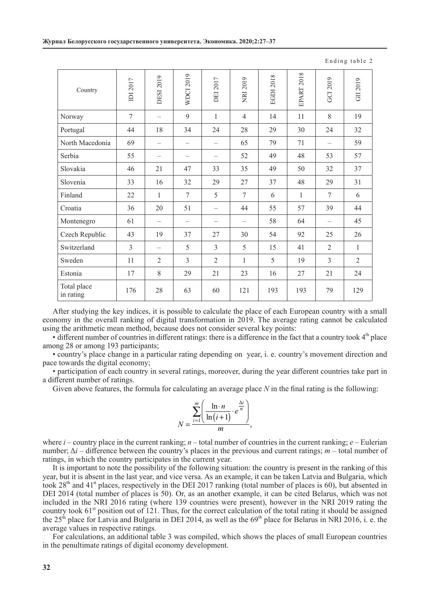| IDI 2017 | <b>DESI 2019</b>         | <b>WDCI 2019</b> | <b>DEI 2017</b>          | <b>NRI 2019</b> | <b>EGDI 2018</b> | <b>EPART 2018</b> | GCI 2019       | GII 2019       |
|----------|--------------------------|------------------|--------------------------|-----------------|------------------|-------------------|----------------|----------------|
| 7        |                          | 9                | 1                        | $\overline{4}$  | 14               | 11                | 8              | 19             |
| 44       | 18                       | 34               | 24                       | 28              | 29               | 30                | 24             | 32             |
| 69       |                          |                  | $\overline{\phantom{0}}$ | 65              | 79               | 71                |                | 59             |
| 55       |                          |                  |                          | 52              | 49               | 48                | 53             | 57             |
| 46       | 21                       | 47               | 33                       | 35              | 49               | 50                | 32             | 37             |
| 33       | 16                       | 32               | 29                       | 27              | 37               | 48                | 29             | 31             |
| 22       | $\mathbf{1}$             | 7                | 5                        | $\tau$          | 6                | $\mathbf{1}$      | 7              | 6              |
| 36       | 20                       | 51               | $\overline{\phantom{0}}$ | 44              | 55               | 57                | 39             | 44             |
| 61       |                          |                  | $\overline{\phantom{0}}$ |                 | 58               | 64                |                | 45             |
| 43       | 19                       | 37               | 27                       | 30              | 54               | 92                | 25             | 26             |
| 3        | $\overline{\phantom{0}}$ | 5                | 3                        | 5               | 15               | 41                | $\overline{2}$ | $\mathbf{1}$   |
| 11       | $\overline{2}$           | 3                | $\overline{2}$           | 1               | 5                | 19                | 3              | $\overline{2}$ |
| 17       | 8                        | 29               | 21                       | 23              | 16               | 27                | 21             | 24             |
| 176      | 28                       | 63               | 60                       | 121             | 193              | 193               | 79             | 129            |
|          |                          |                  |                          |                 |                  |                   |                |                |

Ending table 2

After studying the key indices, it is possible to calculate the place of each European country with a small economy in the overall ranking of digital transformation in 2019. The average rating cannot be calculated using the arithmetic mean method, because does not consider several key points:

 $\bullet$  different number of countries in different ratings: there is a difference in the fact that a country took  $4<sup>th</sup>$  place among 28 or among 193 participants;

• country's place change in a particular rating depending on year, i. e. country's movement direction and pace towards the digital economy;

• participation of each country in several ratings, moreover, during the year different countries take part in a different number of ratings.

Given above features, the formula for calculating an average place *N* in the final rating is the following:

$$
N = \frac{\sum_{i=1}^{m} \left( \frac{\ln n}{\ln(i+1)} \cdot e^{\frac{\Delta i}{n}} \right)}{m},
$$

where  $i$  – country place in the current ranking;  $n$  – total number of countries in the current ranking;  $e$  – Eulerian number; Δ*i* – difference between the country's places in the previous and current ratings; *m* – total number of ratings, in which the country participates in the current year.

It is important to note the possibility of the following situation: the country is present in the ranking of this year, but it is absent in the last year, and vice versa. As an example, it can be taken Latvia and Bulgaria, which took  $28<sup>th</sup>$  and  $41<sup>st</sup>$  places, respectively in the DEI 2017 ranking (total number of places is 60), but absented in DEI 2014 (total number of places is 50). Or, as an another example, it can be cited Belarus, which was not included in the NRI 2016 rating (where 139 countries were present), however in the NRI 2019 rating the country took  $61<sup>st</sup>$  position out of 121. Thus, for the correct calculation of the total rating it should be assigned the  $25<sup>th</sup>$  place for Latvia and Bulgaria in DEI 2014, as well as the  $69<sup>th</sup>$  place for Belarus in NRI 2016, i. e. the average values in respective ratings.

For calculations, an additional table 3 was compiled, which shows the places of small European countries in the penultimate ratings of digital economy development.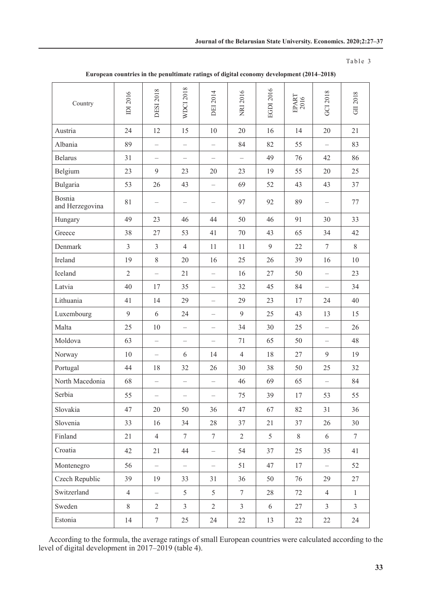## Table 3

| Country                   | IDI 2016       | <b>DESI 2018</b>         | <b>WDCI 2018</b>         | <b>DEI 2014</b>          | NRI 2016          | EGDI 2016      | $\begin{array}{c} \mathrm{EPART} \\ 2016 \end{array}$ | GCI 2018          | GII 2018       |
|---------------------------|----------------|--------------------------|--------------------------|--------------------------|-------------------|----------------|-------------------------------------------------------|-------------------|----------------|
| Austria                   | 24             | 12                       | 15                       | 10                       | 20                | 16             | 14                                                    | 20                | 21             |
| Albania                   | 89             | $\overline{\phantom{0}}$ | $\qquad \qquad -$        |                          | 84                | 82             | 55                                                    |                   | 83             |
| <b>Belarus</b>            | 31             | $\qquad \qquad -$        | $\qquad \qquad -$        |                          | $\qquad \qquad -$ | 49             | 76                                                    | 42                | 86             |
| Belgium                   | 23             | 9                        | 23                       | 20                       | 23                | 19             | 55                                                    | 20                | 25             |
| Bulgaria                  | 53             | 26                       | 43                       |                          | 69                | 52             | 43                                                    | 43                | 37             |
| Bosnia<br>and Herzegovina | 81             |                          | $\overline{\phantom{0}}$ |                          | 97                | 92             | 89                                                    |                   | 77             |
| Hungary                   | 49             | 23                       | 46                       | 44                       | 50                | 46             | 91                                                    | 30                | 33             |
| Greece                    | 38             | 27                       | 53                       | 41                       | 70                | 43             | 65                                                    | 34                | 42             |
| Denmark                   | $\overline{3}$ | $\mathfrak{Z}$           | $\overline{4}$           | 11                       | 11                | 9              | 22                                                    | $\tau$            | 8              |
| Ireland                   | 19             | $8\,$                    | 20                       | 16                       | 25                | 26             | 39                                                    | 16                | 10             |
| Iceland                   | $\overline{2}$ | $\overline{\phantom{0}}$ | 21                       | $\qquad \qquad -$        | 16                | 27             | 50                                                    |                   | 23             |
| Latvia                    | 40             | 17                       | 35                       |                          | 32                | 45             | 84                                                    |                   | 34             |
| Lithuania                 | 41             | 14                       | 29                       |                          | 29                | 23             | 17                                                    | 24                | 40             |
| Luxembourg                | 9              | 6                        | 24                       |                          | 9                 | 25             | 43                                                    | 13                | 15             |
| Malta                     | 25             | 10                       | $\qquad \qquad -$        |                          | 34                | 30             | 25                                                    | $\qquad \qquad -$ | 26             |
| Moldova                   | 63             |                          |                          |                          | 71                | 65             | 50                                                    |                   | 48             |
| Norway                    | 10             | $\qquad \qquad -$        | 6                        | 14                       | $\overline{4}$    | 18             | 27                                                    | 9                 | 19             |
| Portugal                  | 44             | 18                       | 32                       | 26                       | 30                | 38             | 50                                                    | 25                | 32             |
| North Macedonia           | 68             | $\qquad \qquad -$        | $\qquad \qquad -$        |                          | 46                | 69             | 65                                                    |                   | 84             |
| Serbia                    | 55             |                          |                          |                          | 75                | 39             | 17                                                    | 53                | 55             |
| Slovakia                  | 47             | 20                       | 50                       | 36                       | 47                | 67             | 82                                                    | 31                | 36             |
| Slovenia                  | 33             | 16                       | 34                       | 28                       | 37                | 21             | 37                                                    | 26                | 30             |
| Finland                   | 21             | $\overline{4}$           | $7\phantom{.0}$          | $\tau$                   | $\overline{2}$    | $\mathfrak{H}$ | 8                                                     | 6                 | $\tau$         |
| Croatia                   | 42             | 21                       | 44                       | $\overline{\phantom{0}}$ | 54                | 37             | 25                                                    | 35                | 41             |
| Montenegro                | 56             | $\overline{\phantom{0}}$ | $\overline{\phantom{0}}$ | $\qquad \qquad -$        | 51                | 47             | 17                                                    | $\qquad \qquad -$ | 52             |
| Czech Republic            | 39             | 19                       | 33                       | 31                       | 36                | 50             | 76                                                    | 29                | 27             |
| Switzerland               | $\overline{4}$ | $\qquad \qquad -$        | 5                        | 5                        | $\overline{7}$    | 28             | 72                                                    | $\overline{4}$    | $\mathbf{1}$   |
| Sweden                    | $8\,$          | $\overline{2}$           | $\mathfrak{Z}$           | $\mathbf{2}$             | $\mathfrak{Z}$    | 6              | 27                                                    | $\mathfrak{Z}$    | $\overline{3}$ |
| Estonia                   | 14             | $7\phantom{.0}$          | 25                       | 24                       | 22                | 13             | 22                                                    | 22                | 24             |

**European countries in the penultimate ratings of digital economy development (2014–2018)**

According to the formula, the average ratings of small European countries were calculated according to the level of digital development in 2017–2019 (table 4).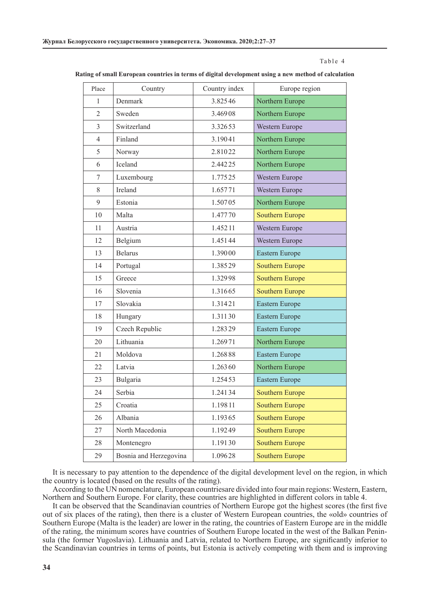#### Table 4

| Place          | Country                | Country index | Europe region          |
|----------------|------------------------|---------------|------------------------|
| $\mathbf{1}$   | Denmark                | 3.82546       | Northern Europe        |
| $\overline{2}$ | Sweden                 | 3.46908       | Northern Europe        |
| $\overline{3}$ | Switzerland            | 3.32653       | Western Europe         |
| $\overline{4}$ | Finland                | 3.19041       | Northern Europe        |
| 5              | Norway                 | 2.81022       | Northern Europe        |
| 6              | Iceland                | 2.44225       | Northern Europe        |
| 7              | Luxembourg             | 1.77525       | Western Europe         |
| 8              | Ireland                | 1.65771       | Western Europe         |
| 9              | Estonia                | 1.50705       | Northern Europe        |
| 10             | Malta                  | 1.47770       | <b>Southern Europe</b> |
| 11             | Austria                | 1.45211       | Western Europe         |
| 12             | Belgium                | 1.45144       | Western Europe         |
| 13             | <b>Belarus</b>         | 1.39000       | Eastern Europe         |
| 14             | Portugal               | 1.38529       | <b>Southern Europe</b> |
| 15             | Greece                 | 1.32998       | <b>Southern Europe</b> |
| 16             | Slovenia               | 1.31665       | <b>Southern Europe</b> |
| 17             | Slovakia               | 1.31421       | Eastern Europe         |
| 18             | Hungary                | 1.31130       | Eastern Europe         |
| 19             | Czech Republic         | 1.28329       | Eastern Europe         |
| 20             | Lithuania              | 1.26971       | Northern Europe        |
| 21             | Moldova                | 1.26888       | Eastern Europe         |
| 22             | Latvia                 | 1.26360       | Northern Europe        |
| 23             | Bulgaria               | 1.25453       | Eastern Europe         |
| 24             | Serbia                 | 1.24134       | <b>Southern Europe</b> |
| 25             | Croatia                | 1.19811       | <b>Southern Europe</b> |
| 26             | Albania                | 1.19365       | <b>Southern Europe</b> |
| 27             | North Macedonia        | 1.19249       | <b>Southern Europe</b> |
| 28             | Montenegro             | 1.19130       | <b>Southern Europe</b> |
| 29             | Bosnia and Herzegovina | 1.09628       | <b>Southern Europe</b> |

**Rating of small European countries in terms of digital development using a new method of calculation**

It is necessary to pay attention to the dependence of the digital development level on the region, in which the country is located (based on the results of the rating).

According to the UN nomenclature, European countriesare divided into four main regions: Western, Eastern, Northern and Southern Europe. For clarity, these countries are highlighted in different colors in table 4.

It can be observed that the Scandinavian countries of Northern Europe got the highest scores (the first five out of six places of the rating), then there is a cluster of Western European countries, the «old» countries of Southern Europe (Malta is the leader) are lower in the rating, the countries of Eastern Europe are in the middle of the rating, the minimum scores have countries of Southern Europe located in the west of the Balkan Peninsula (the former Yugoslavia). Lithuania and Latvia, related to Northern Europe, are significantly inferior to the Scandinavian countries in terms of points, but Estonia is actively competing with them and is improving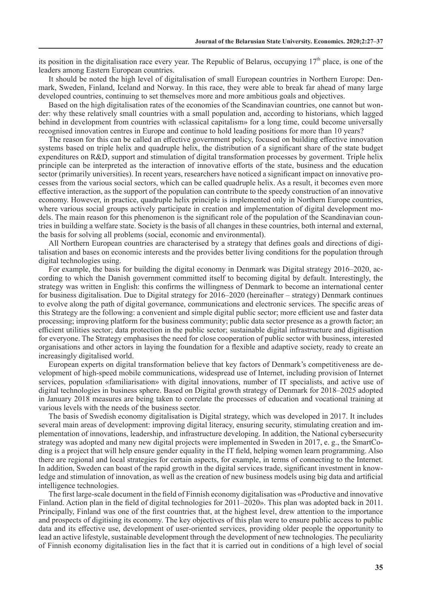its position in the digitalisation race every year. The Republic of Belarus, occupying  $17<sup>th</sup>$  place, is one of the leaders among Eastern European countries.

It should be noted the high level of digitalisation of small European countries in Northern Europe: Denmark, Sweden, Finland, Iceland and Norway. In this race, they were able to break far ahead of many large developed countries, continuing to set themselves more and more ambitious goals and objectives.

Based on the high digitalisation rates of the economies of the Scandinavian countries, one cannot but wonder: why these relatively small countries with a small population and, according to historians, which lagged behind in development from countries with «classical capitalism» for a long time, could become universally recognised innovation centres in Europe and continue to hold leading positions for more than 10 years?

The reason for this can be called an effective government policy, focused on building effective innovation systems based on triple helix and quadruple helix, the distribution of a significant share of the state budget expenditures on R&D, support and stimulation of digital transformation processes by goverment. Triple helix principle can be interpreted as the interaction of innovative efforts of the state, business and the education sector (primarily universities). In recent years, researchers have noticed a significant impact on innovative processes from the various social sectors, which can be called quadruple helix. As a result, it becomes even more effective interaction, as the support of the population can contribute to the speedy construction of an innovative economy. However, in practice, quadruple helix principle is implemented only in Northern Europe countries, where various social groups actively participate in creation and implementation of digital development models. The main reason for this phenomenon is the significant role of the population of the Scandinavian countries in building a welfare state. Society is the basis of all changes in these countries, both internal and external, the basis for solving all problems (social, economic and environmental).

All Northern European countries are characterised by a strategy that defines goals and directions of digitalisation and bases on economic interests and the provides better living conditions for the population through digital technologies using.

For example, the basis for building the digital economy in Denmark was Digital strategy 2016–2020, according to which the Danish government committed itself to becoming digital by default. Interestingly, the strategy was written in English: this confirms the willingness of Denmark to become an international center for business digitalisation. Due to Digital strategy for 2016–2020 (hereinafter – strategy) Denmark continues to evolve along the path of digital governance, communications and electronic services. The specific areas of this Strategy are the following: a convenient and simple digital public sector; more efficient use and faster data processing; improving platform for the business community; public data sector presence as a growth factor; an efficient utilities sector; data protection in the public sector; sustainable digital infrastructure and digitisation for everyone. The Strategy emphasises the need for close cooperation of public sector with business, interested organisations and other actors in laying the foundation for a flexible and adaptive society, ready to create an increasingly digitalised world.

European experts on digital transformation believe that key factors of Denmark's competitiveness are development of high-speed mobile communications, widespread use of Internet, including provision of Internet services, population «familiarisation» with digital innovations, number of IT specialists, and active use of digital technologies in business sphere. Based on Digital growth strategy of Denmark for 2018–2025 adopted in January 2018 measures are being taken to correlate the processes of education and vocational training at various levels with the needs of the business sector.

The basis of Swedish economy digitalisation is Digital strategy, which was developed in 2017. It includes several main areas of development: improving digital literacy, ensuring security, stimulating creation and implementation of innovations, leadership, and infrastructure developing. In addition, the National cybersecurity strategy was adopted and many new digital projects were implemented in Sweden in 2017, e. g., the SmartCoding is a project that will help ensure gender equality in the IT field, helping women learn programming. Also there are regional and local strategies for certain aspects, for example, in terms of connecting to the Internet. In addition, Sweden can boast of the rapid growth in the digital services trade, significant investment in knowledge and stimulation of innovation, as well as the creation of new business models using big data and artificial intelligence technologies.

The first large-scale document in the field of Finnish economy digitalisation was «Productive and innovative Finland. Action plan in the field of digital technologies for 2011–2020». This plan was adopted back in 2011. Principally, Finland was one of the first countries that, at the highest level, drew attention to the importance and prospects of digitising its economy. The key objectives of this plan were to ensure public access to public data and its effective use, development of user-oriented services, providing older people the opportunity to lead an active lifestyle, sustainable development through the development of new technologies. The peculiarity of Finnish economy digitalisation lies in the fact that it is carried out in conditions of a high level of social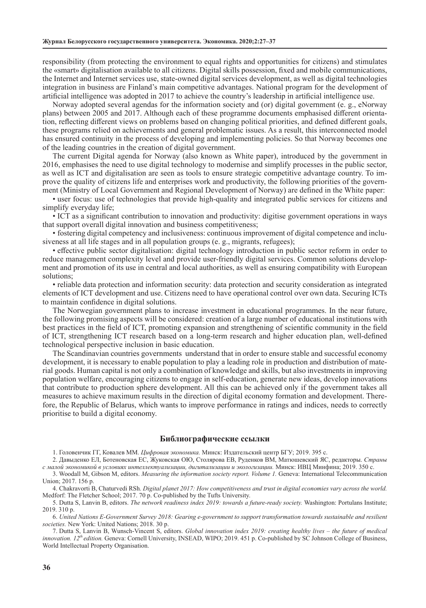responsibility (from protecting the environment to equal rights and opportunities for citizens) and stimulates the «smart» digitalisation available to all citizens. Digital skills possession, fixed and mobile communications, the Internet and Internet services use, state-owned digital services development, as well as digital technologies integration in business are Finland's main competitive advantages. National program for the development of artificial intelligence was adopted in 2017 to achieve the country's leadership in artificial intelligence use.

Norway adopted several agendas for the information society and (or) digital government (e. g., eNorway plans) between 2005 and 2017. Although each of these programme documents emphasised different orientation, reflecting different views on problems based on changing political priorities, and defined different goals, these programs relied on achievements and general problematic issues. As a result, this interconnected model has ensured continuity in the process of developing and implementing policies. So that Norway becomes one of the leading countries in the creation of digital government.

The current Digital agenda for Norway (also known as White paper), introduced by the government in 2016, emphasises the need to use digital technology to modernise and simplify processes in the public sector, as well as ICT and digitalisation are seen as tools to ensure strategic competitive advantage country. To improve the quality of citizens life and enterprises work and productivity, the following priorities of the government (Ministry of Local Government and Regional Development of Norway) are defined in the White paper:

• user focus: use of technologies that provide high-quality and integrated public services for citizens and simplify everyday life;

• ICT as a significant contribution to innovation and productivity: digitise government operations in ways that support overall digital innovation and business competitiveness;

• fostering digital competency and inclusiveness: continuous improvement of digital competence and inclusiveness at all life stages and in all population groups (e. g., migrants, refugees);

• effective public sector digitalisation: digital technology introduction in public sector reform in order to reduce management complexity level and provide user-friendly digital services. Common solutions development and promotion of its use in central and local authorities, as well as ensuring compatibility with European solutions;

• reliable data protection and information security: data protection and security consideration as integrated elements of ICT development and use. Citizens need to have operational control over own data. Securing ICTs to maintain confidence in digital solutions.

The Norwegian government plans to increase investment in educational programmes. In the near future, the following promising aspects will be considered: creation of a large number of educational institutions with best practices in the field of ICT, promoting expansion and strengthening of scientific community in the field of ICT, strengthening ICT research based on a long-term research and higher education plan, well-defined technological perspective inclusion in basic education.

The Scandinavian countries governments understand that in order to ensure stable and successful economy development, it is necessary to enable population to play a leading role in production and distribution of material goods. Human capital is not only a combination of knowledge and skills, but also investments in improving population welfare, encouraging citizens to engage in self-education, generate new ideas, develop innovations that contribute to production sphere development. All this can be achieved only if the government takes all measures to achieve maximum results in the direction of digital economy formation and development. Therefore, the Republic of Belarus, which wants to improve performance in ratings and indices, needs to correctly prioritise to build a digital economy.

## **Библиографические ссылки**

1. Головенчик ГГ, Ковалев ММ. *Цифровая экономика.* Минск: Издательский центр БГУ; 2019. 395 с.

2. Давыденко ЕЛ, Ботеновская ЕС, Жуковская ОЮ, Столярова ЕВ, Руденков ВМ, Матюшевский ЯС, редакторы. *Страны с малой экономикой в условиях интеллектуализации, дигитaлизации и экологизации.* Минск: ИВЦ Минфина; 2019. 350 с.

3. Woodall M, Gibson M, editors. *Measuring the information society report. Volume 1.* Geneva: International Telecommunication Union; 2017. 156 p.

4. Chakravorti B, Chaturvedi RSh. *Digital planet 2017: How competitiveness and trust in digital economies vary across the world.*  Medforf: The Fletcher School; 2017. 70 p. Co-published by the Tufts University.

5. Dutta S, Lanvin B, editors. *The network readiness index 2019: towards a future-ready society.* Washington: Portulans Institute; 2019. 310 p.

6. *United Nations E-Government Survey 2018: Gearing e-government to support transformation towards sustainable and resilient societies.* New York: United Nations; 2018. 30 p.

7. Dutta S, Lanvin B, Wunsch-Vincent S, editors. *Global innovation index 2019: creating healthy lives – the future of medical innovation. 12th edition.* Geneva: Cornell University, INSEAD, WIPO; 2019. 451 p. Co-published by SC Johnson College of Business, World Intellectual Property Organisation.